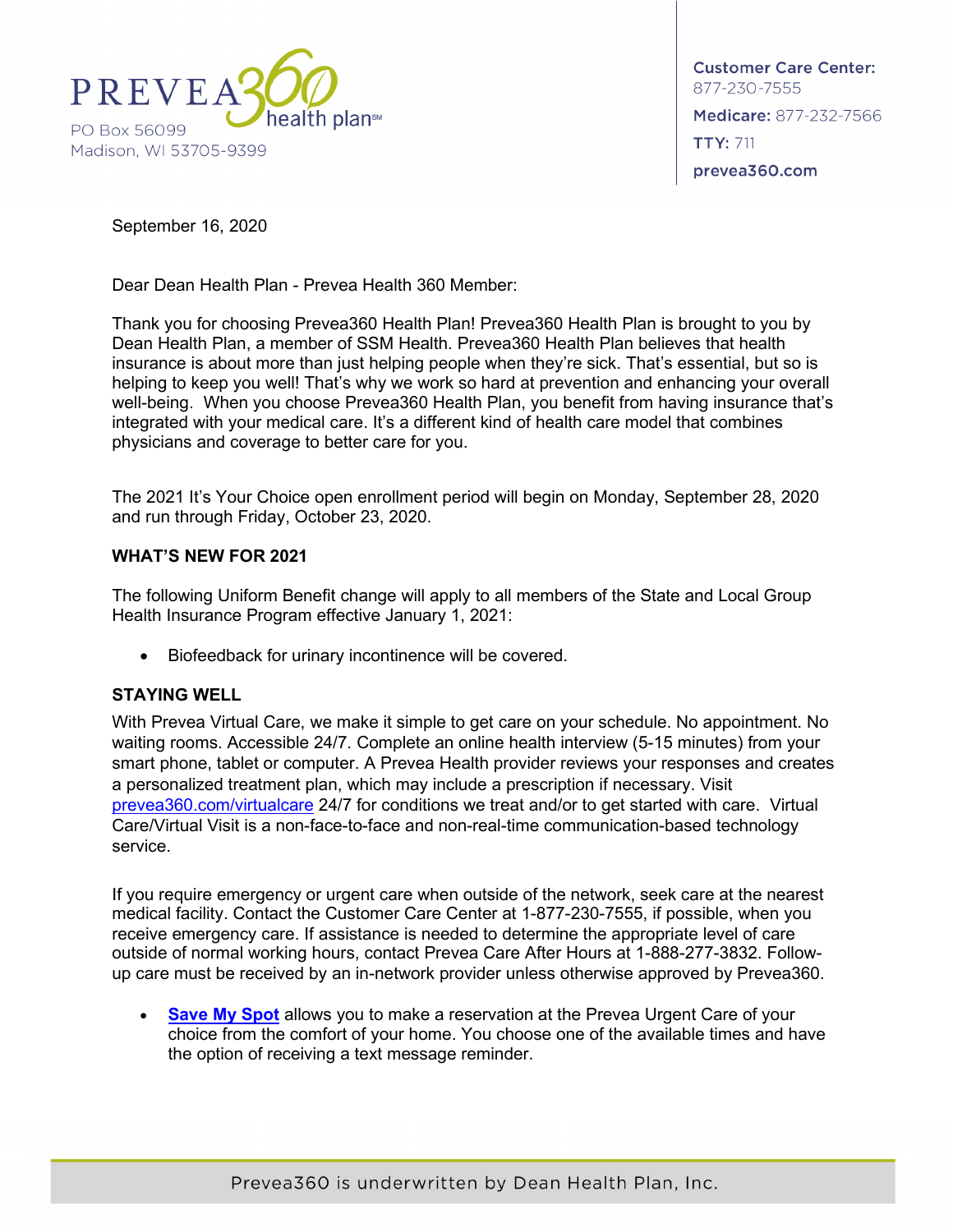

**Customer Care Center:** 877-230-7555 Medicare: 877-232-7566 **TTY: 711** prevea360.com

September 16, 2020

Dear Dean Health Plan - Prevea Health 360 Member:

Thank you for choosing Prevea360 Health Plan! Prevea360 Health Plan is brought to you by Dean Health Plan, a member of SSM Health. Prevea360 Health Plan believes that health insurance is about more than just helping people when they're sick. That's essential, but so is helping to keep you well! That's why we work so hard at prevention and enhancing your overall well-being. When you choose Prevea360 Health Plan, you benefit from having insurance that's integrated with your medical care. It's a different kind of health care model that combines physicians and coverage to better care for you.

The 2021 It's Your Choice open enrollment period will begin on Monday, September 28, 2020 and run through Friday, October 23, 2020.

## **WHAT'S NEW FOR 2021**

The following Uniform Benefit change will apply to all members of the State and Local Group Health Insurance Program effective January 1, 2021:

• Biofeedback for urinary incontinence will be covered.

## **STAYING WELL**

With Prevea Virtual Care, we make it simple to get care on your schedule. No appointment. No waiting rooms. Accessible 24/7. Complete an online health interview (5-15 minutes) from your smart phone, tablet or computer. A Prevea Health provider reviews your responses and creates a personalized treatment plan, which may include a prescription if necessary. Visit [prevea360.com/virtualcare](https://www.prevea360.com/For-Members/Using-Your-Plan/Get-the-Right-Care.aspx) 24/7 for conditions we treat and/or to get started with care. Virtual Care/Virtual Visit is a non-face-to-face and non-real-time communication-based technology service.

If you require emergency or urgent care when outside of the network, seek care at the nearest medical facility. Contact the Customer Care Center at 1-877-230-7555, if possible, when you receive emergency care. If assistance is needed to determine the appropriate level of care outside of normal working hours, contact Prevea Care After Hours at 1-888-277-3832. Followup care must be received by an in-network provider unless otherwise approved by Prevea360.

**[Save My Spot](https://www.prevea.com/Your-Wellness/Resources/Save-My-Spot)** allows you to make a reservation at the Prevea Urgent Care of your choice from the comfort of your home. You choose one of the available times and have the option of receiving a text message reminder.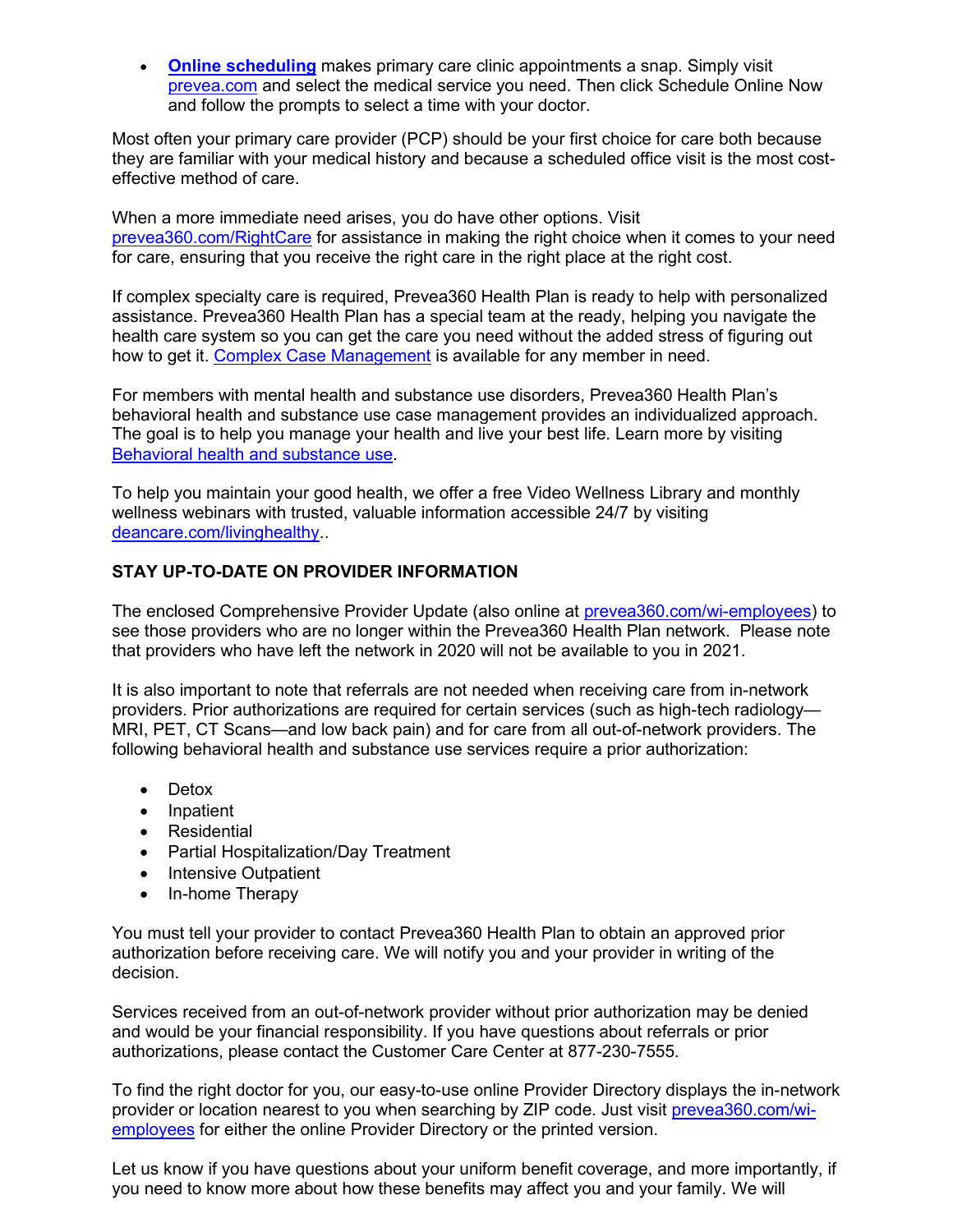• **[Online scheduling](https://www.prevea.com/Medical-Services)** makes primary care clinic appointments a snap. Simply visit [prevea.com](http://www.prevea.com/) and select the medical service you need. Then click Schedule Online Now and follow the prompts to select a time with your doctor.

Most often your primary care provider (PCP) should be your first choice for care both because they are familiar with your medical history and because a scheduled office visit is the most costeffective method of care.

When a more immediate need arises, you do have other options. Visit [prevea360.com/RightCare](https://www.prevea360.com/For-Members/Using-Your-Plan/Get-the-Right-Care.aspx) for assistance in making the right choice when it comes to your need for care, ensuring that you receive the right care in the right place at the right cost.

If complex specialty care is required, Prevea360 Health Plan is ready to help with personalized assistance. Prevea360 Health Plan has a special team at the ready, helping you navigate the health care system so you can get the care you need without the added stress of figuring out how to get it. [Complex Case Management](https://www.prevea360.com/For-Members/Health-Wellness/Case-Management.aspx) is available for any member in need.

For members with mental health and substance use disorders, Prevea360 Health Plan's behavioral health and substance use case management provides an individualized approach. The goal is to help you manage your health and live your best life. Learn more by visiting [Behavioral health and substance use.](https://www.prevea360.com/For-Members/Health-Wellness/Care-management/Behavioral-health-and-substance-use.aspx)

To help you maintain your good health, we offer a free Video Wellness Library and monthly wellness webinars with trusted, valuable information accessible 24/7 by visiting [deancare.com/livinghealthy.](https://www.deancare.com/wellness/health-and-wellness?utm_source=Jeena&utm_medium=Jeena-request&utm_campaign=Jeenas-living-healthy-page).

## **STAY UP-TO-DATE ON PROVIDER INFORMATION**

The enclosed Comprehensive Provider Update (also online at [prevea360.com/wi-employees\)](https://www.prevea360.com/For-Members/State-Employees.aspx) to see those providers who are no longer within the Prevea360 Health Plan network. Please note that providers who have left the network in 2020 will not be available to you in 2021.

It is also important to note that referrals are not needed when receiving care from in-network providers. Prior authorizations are required for certain services (such as high-tech radiology— MRI, PET, CT Scans—and low back pain) and for care from all out-of-network providers. The following behavioral health and substance use services require a prior authorization:

- Detox
- Inpatient
- Residential
- Partial Hospitalization/Day Treatment
- Intensive Outpatient
- In-home Therapy

You must tell your provider to contact Prevea360 Health Plan to obtain an approved prior authorization before receiving care. We will notify you and your provider in writing of the decision.

Services received from an out-of-network provider without prior authorization may be denied and would be your financial responsibility. If you have questions about referrals or prior authorizations, please contact the Customer Care Center at 877-230-7555.

To find the right doctor for you, our easy-to-use online Provider Directory displays the in-network provider or location nearest to you when searching by ZIP code. Just visit [prevea360.com/wi](https://www.prevea360.com/For-Members/State-Employees.aspx)[employees](https://www.prevea360.com/For-Members/State-Employees.aspx) for either the online Provider Directory or the printed version.

Let us know if you have questions about your uniform benefit coverage, and more importantly, if you need to know more about how these benefits may affect you and your family. We will